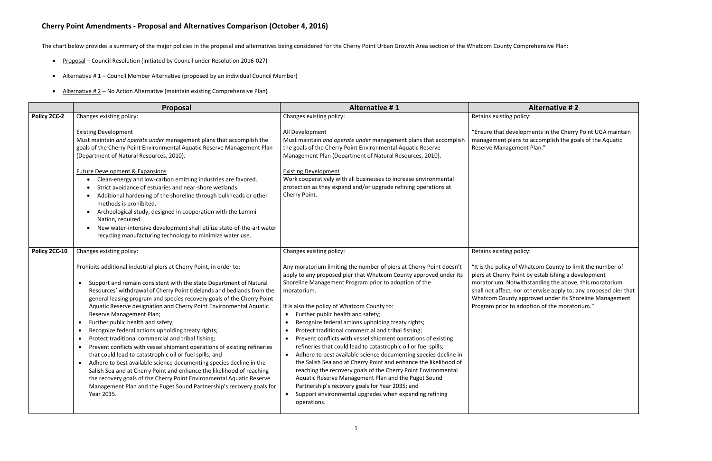## **Cherry Point Amendments - Proposal and Alternatives Comparison (October 4, 2016)**

The chart below provides a summary of the major policies in the proposal and alternatives being considered for the Cherry Point Urban Growth Area section of the Whatcom County Comprehensive Plan:

- Proposal Council Resolution (initiated by Council under Resolution 2016-027)
- Alternative  $# 1$  Council Member Alternative (proposed by an individual Council Member)
- Alternative #2 No Action Alternative (maintain existing Comprehensive Plan)

## **Proposal Alternative # 1 Alternative # 2**

licy:

ppments in the Cherry Point UGA maintain to accomplish the goals of the Aquatic ent Plan."

licy:

Whatcom County to limit the number of nt by establishing a development ithstanding the above, this moratorium otherwise apply to, any proposed pier that pproved under its Shoreline Management doption of the moratorium."

|               | <b>Proposal</b>                                                                                                                                                                                                                                                                                                                                                                                                                                                                                                                                                                                                                                                                                                                                                                                                                                                                                                                                                                                                                                               | <b>Alternative #1</b>                                                                                                                                                                                                                                                                                                                                                                                                                                                                                                                                                                                                                                                                                                                                                                                                                                                                                                                               |                                                                                                                                           |
|---------------|---------------------------------------------------------------------------------------------------------------------------------------------------------------------------------------------------------------------------------------------------------------------------------------------------------------------------------------------------------------------------------------------------------------------------------------------------------------------------------------------------------------------------------------------------------------------------------------------------------------------------------------------------------------------------------------------------------------------------------------------------------------------------------------------------------------------------------------------------------------------------------------------------------------------------------------------------------------------------------------------------------------------------------------------------------------|-----------------------------------------------------------------------------------------------------------------------------------------------------------------------------------------------------------------------------------------------------------------------------------------------------------------------------------------------------------------------------------------------------------------------------------------------------------------------------------------------------------------------------------------------------------------------------------------------------------------------------------------------------------------------------------------------------------------------------------------------------------------------------------------------------------------------------------------------------------------------------------------------------------------------------------------------------|-------------------------------------------------------------------------------------------------------------------------------------------|
| Policy 2CC-2  | Changes existing policy:                                                                                                                                                                                                                                                                                                                                                                                                                                                                                                                                                                                                                                                                                                                                                                                                                                                                                                                                                                                                                                      | Changes existing policy:                                                                                                                                                                                                                                                                                                                                                                                                                                                                                                                                                                                                                                                                                                                                                                                                                                                                                                                            | Retains existing poli                                                                                                                     |
|               | <b>Existing Development</b><br>Must maintain and operate under management plans that accomplish the<br>goals of the Cherry Point Environmental Aquatic Reserve Management Plan<br>(Department of Natural Resources, 2010).<br><b>Future Development &amp; Expansions</b><br>Clean-energy and low-carbon emitting industries are favored.<br>$\bullet$<br>Strict avoidance of estuaries and near-shore wetlands.<br>$\bullet$<br>Additional hardening of the shoreline through bulkheads or other<br>methods is prohibited.<br>Archeological study, designed in cooperation with the Lummi<br>$\bullet$<br>Nation, required.<br>New water-intensive development shall utilize state-of-the-art water<br>recycling manufacturing technology to minimize water use.                                                                                                                                                                                                                                                                                              | All Development<br>Must maintain and operate under management plans that accomplish<br>the goals of the Cherry Point Environmental Aquatic Reserve<br>Management Plan (Department of Natural Resources, 2010).<br><b>Existing Development</b><br>Work cooperatively with all businesses to increase environmental<br>protection as they expand and/or upgrade refining operations at<br>Cherry Point.                                                                                                                                                                                                                                                                                                                                                                                                                                                                                                                                               | "Ensure that develo<br>management plans<br>Reserve Manageme                                                                               |
| Policy 2CC-10 | Changes existing policy:                                                                                                                                                                                                                                                                                                                                                                                                                                                                                                                                                                                                                                                                                                                                                                                                                                                                                                                                                                                                                                      | Changes existing policy:                                                                                                                                                                                                                                                                                                                                                                                                                                                                                                                                                                                                                                                                                                                                                                                                                                                                                                                            | Retains existing poli                                                                                                                     |
|               | Prohibits additional industrial piers at Cherry Point, in order to:<br>Support and remain consistent with the state Department of Natural<br>$\bullet$<br>Resources' withdrawal of Cherry Point tidelands and bedlands from the<br>general leasing program and species recovery goals of the Cherry Point<br>Aquatic Reserve designation and Cherry Point Environmental Aquatic<br>Reserve Management Plan;<br>Further public health and safety;<br>$\bullet$<br>Recognize federal actions upholding treaty rights;<br>$\bullet$<br>Protect traditional commercial and tribal fishing;<br>٠<br>Prevent conflicts with vessel shipment operations of existing refineries<br>$\bullet$<br>that could lead to catastrophic oil or fuel spills; and<br>Adhere to best available science documenting species decline in the<br>Salish Sea and at Cherry Point and enhance the likelihood of reaching<br>the recovery goals of the Cherry Point Environmental Aquatic Reserve<br>Management Plan and the Puget Sound Partnership's recovery goals for<br>Year 2035. | Any moratorium limiting the number of piers at Cherry Point doesn't<br>apply to any proposed pier that Whatcom County approved under its<br>Shoreline Management Program prior to adoption of the<br>moratorium.<br>It is also the policy of Whatcom County to:<br>Further public health and safety;<br>٠<br>Recognize federal actions upholding treaty rights;<br>Protect traditional commercial and tribal fishing;<br>Prevent conflicts with vessel shipment operations of existing<br>refineries that could lead to catastrophic oil or fuel spills;<br>Adhere to best available science documenting species decline in<br>the Salish Sea and at Cherry Point and enhance the likelihood of<br>reaching the recovery goals of the Cherry Point Environmental<br>Aquatic Reserve Management Plan and the Puget Sound<br>Partnership's recovery goals for Year 2035; and<br>Support environmental upgrades when expanding refining<br>operations. | "It is the policy of W<br>piers at Cherry Poin<br>moratorium. Notwit<br>shall not affect, nor<br>Whatcom County ap<br>Program prior to ad |